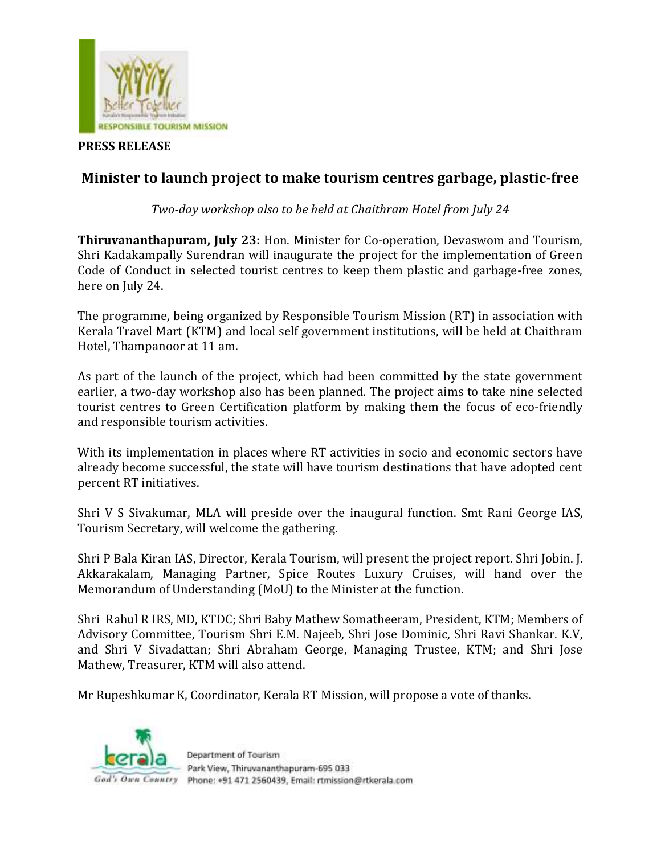

## **PRESS RELEASE**

## **Minister to launch project to make tourism centres garbage, plastic-free**

*Two-day workshop also to be held at Chaithram Hotel from July 24* 

**Thiruvananthapuram, July 23:** Hon. Minister for Co-operation, Devaswom and Tourism, Shri Kadakampally Surendran will inaugurate the project for the implementation of Green Code of Conduct in selected tourist centres to keep them plastic and garbage-free zones, here on July 24.

The programme, being organized by Responsible Tourism Mission (RT) in association with Kerala Travel Mart (KTM) and local self government institutions, will be held at Chaithram Hotel, Thampanoor at 11 am.

As part of the launch of the project, which had been committed by the state government earlier, a two-day workshop also has been planned. The project aims to take nine selected tourist centres to Green Certification platform by making them the focus of eco-friendly and responsible tourism activities.

With its implementation in places where RT activities in socio and economic sectors have already become successful, the state will have tourism destinations that have adopted cent percent RT initiatives.

Shri V S Sivakumar, MLA will preside over the inaugural function. Smt Rani George IAS, Tourism Secretary, will welcome the gathering.

Shri P Bala Kiran IAS, Director, Kerala Tourism, will present the project report. Shri Jobin. J. Akkarakalam, Managing Partner, Spice Routes Luxury Cruises, will hand over the Memorandum of Understanding (MoU) to the Minister at the function.

Shri Rahul R IRS, MD, KTDC; Shri Baby Mathew Somatheeram, President, KTM; Members of Advisory Committee, Tourism Shri E.M. Najeeb, Shri Jose Dominic, Shri Ravi Shankar. K.V, and Shri V Sivadattan; Shri Abraham George, Managing Trustee, KTM; and Shri Jose Mathew, Treasurer, KTM will also attend.

Mr Rupeshkumar K, Coordinator, Kerala RT Mission, will propose a vote of thanks.



Department of Tourism Park View, Thiruvananthapuram-695 033 God's Own Country Phone: +91 471 2560439, Email: rtmission@rtkerala.com